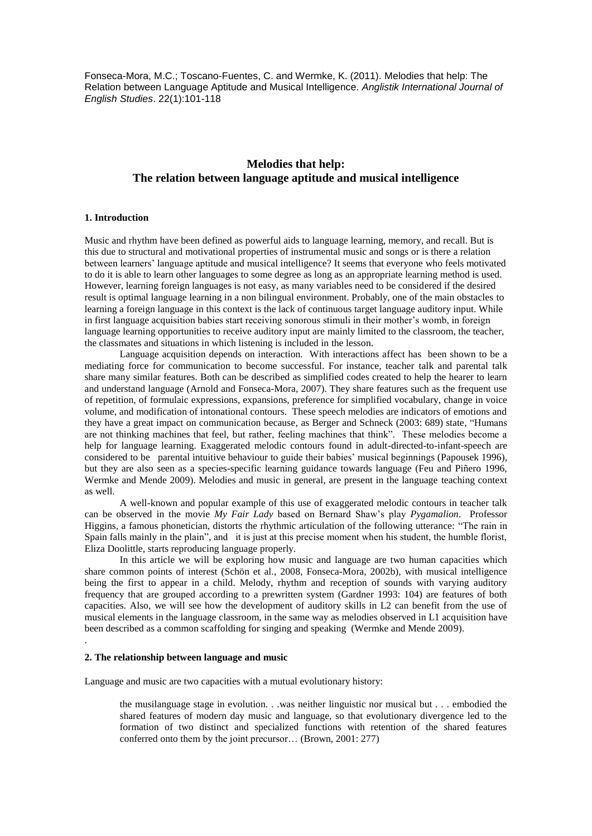Fonseca-Mora, M.C.; Toscano-Fuentes, C. and Wermke, K. (2011). Melodies that help: The Relation between Language Aptitude and Musical Intelligence. *Anglistik International Journal of English Studies*. 22(1):101-118

# **Melodies that help: The relation between language aptitude and musical intelligence**

### **1. Introduction**

Music and rhythm have been defined as powerful aids to language learning, memory, and recall. But is this due to structural and motivational properties of instrumental music and songs or is there a relation between learners' language aptitude and musical intelligence? It seems that everyone who feels motivated to do it is able to learn other languages to some degree as long as an appropriate learning method is used. However, learning foreign languages is not easy, as many variables need to be considered if the desired result is optimal language learning in a non bilingual environment. Probably, one of the main obstacles to learning a foreign language in this context is the lack of continuous target language auditory input. While in first language acquisition babies start receiving sonorous stimuli in their mother"s womb, in foreign language learning opportunities to receive auditory input are mainly limited to the classroom, the teacher, the classmates and situations in which listening is included in the lesson.

Language acquisition depends on interaction. With interactions affect has been shown to be a mediating force for communication to become successful. For instance, teacher talk and parental talk share many similar features. Both can be described as simplified codes created to help the hearer to learn and understand language (Arnold and Fonseca-Mora, 2007). They share features such as the frequent use of repetition, of formulaic expressions, expansions, preference for simplified vocabulary, change in voice volume, and modification of intonational contours. These speech melodies are indicators of emotions and they have a great impact on communication because, as Berger and Schneck (2003: 689) state, "Humans are not thinking machines that feel, but rather, feeling machines that think". These melodies become a help for language learning. Exaggerated melodic contours found in adult-directed-to-infant-speech are considered to be parental intuitive behaviour to guide their babies" musical beginnings (Papousek 1996), but they are also seen as a species-specific learning guidance towards language (Feu and Piñero 1996, Wermke and Mende 2009). Melodies and music in general, are present in the language teaching context as well.

A well-known and popular example of this use of exaggerated melodic contours in teacher talk can be observed in the movie *My Fair Lady* based on Bernard Shaw"s play *Pygamalion*. Professor Higgins, a famous phonetician, distorts the rhythmic articulation of the following utterance: "The rain in Spain falls mainly in the plain", and it is just at this precise moment when his student, the humble florist, Eliza Doolittle, starts reproducing language properly.

In this article we will be exploring how music and language are two human capacities which share common points of interest (Schön et al., 2008, Fonseca-Mora, 2002b), with musical intelligence being the first to appear in a child. Melody, rhythm and reception of sounds with varying auditory frequency that are grouped according to a prewritten system (Gardner 1993: 104) are features of both capacities. Also, we will see how the development of auditory skills in L2 can benefit from the use of musical elements in the language classroom, in the same way as melodies observed in L1 acquisition have been described as a common scaffolding for singing and speaking (Wermke and Mende 2009).

# **2. The relationship between language and music**

.

Language and music are two capacities with a mutual evolutionary history:

the musilanguage stage in evolution. . .was neither linguistic nor musical but . . . embodied the shared features of modern day music and language, so that evolutionary divergence led to the formation of two distinct and specialized functions with retention of the shared features conferred onto them by the joint precursor… (Brown, 2001: 277)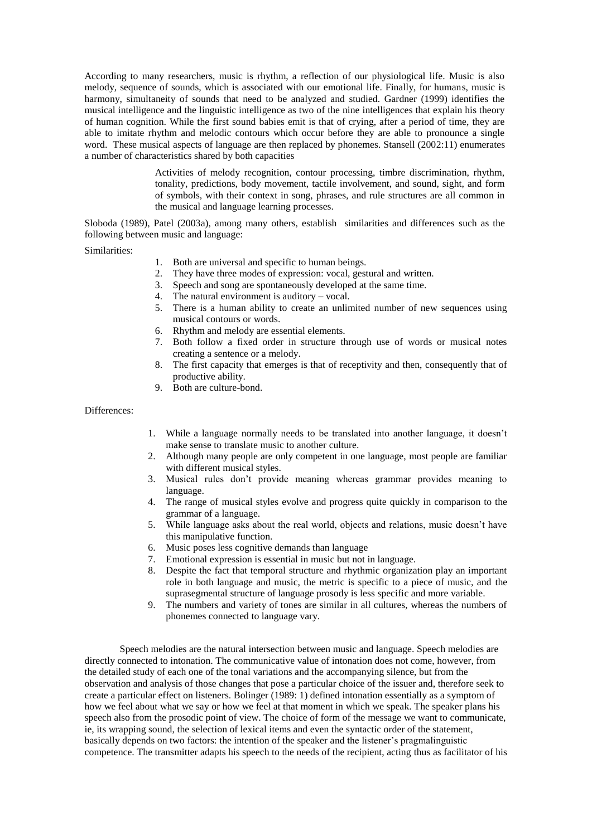According to many researchers, music is rhythm, a reflection of our physiological life. Music is also melody, sequence of sounds, which is associated with our emotional life. Finally, for humans, music is harmony, simultaneity of sounds that need to be analyzed and studied. Gardner (1999) identifies the musical intelligence and the linguistic intelligence as two of the nine intelligences that explain his theory of human cognition. While the first sound babies emit is that of crying, after a period of time, they are able to imitate rhythm and melodic contours which occur before they are able to pronounce a single word. These musical aspects of language are then replaced by phonemes. Stansell (2002:11) enumerates a number of characteristics shared by both capacities

> Activities of melody recognition, contour processing, timbre discrimination, rhythm, tonality, predictions, body movement, tactile involvement, and sound, sight, and form of symbols, with their context in song, phrases, and rule structures are all common in the musical and language learning processes.

Sloboda (1989), Patel (2003a), among many others, establish similarities and differences such as the following between music and language:

Similarities:

- 1. Both are universal and specific to human beings.
- 2. They have three modes of expression: vocal, gestural and written.
- 3. Speech and song are spontaneously developed at the same time.
- 4. The natural environment is auditory vocal.
- 5. There is a human ability to create an unlimited number of new sequences using musical contours or words.
- 6. Rhythm and melody are essential elements.
- 7. Both follow a fixed order in structure through use of words or musical notes creating a sentence or a melody.
- 8. The first capacity that emerges is that of receptivity and then, consequently that of productive ability.
- 9. Both are culture-bond.

Differences:

- 1. While a language normally needs to be translated into another language, it doesn"t make sense to translate music to another culture.
- 2. Although many people are only competent in one language, most people are familiar with different musical styles.
- 3. Musical rules don"t provide meaning whereas grammar provides meaning to language.
- 4. The range of musical styles evolve and progress quite quickly in comparison to the grammar of a language.
- 5. While language asks about the real world, objects and relations, music doesn"t have this manipulative function.
- 6. Music poses less cognitive demands than language
- 7. Emotional expression is essential in music but not in language.
- 8. Despite the fact that temporal structure and rhythmic organization play an important role in both language and music, the metric is specific to a piece of music, and the suprasegmental structure of language prosody is less specific and more variable.
- 9. The numbers and variety of tones are similar in all cultures, whereas the numbers of phonemes connected to language vary.

Speech melodies are the natural intersection between music and language. Speech melodies are directly connected to intonation. The communicative value of intonation does not come, however, from the detailed study of each one of the tonal variations and the accompanying silence, but from the observation and analysis of those changes that pose a particular choice of the issuer and, therefore seek to create a particular effect on listeners. Bolinger (1989: 1) defined intonation essentially as a symptom of how we feel about what we say or how we feel at that moment in which we speak. The speaker plans his speech also from the prosodic point of view. The choice of form of the message we want to communicate, ie, its wrapping sound, the selection of lexical items and even the syntactic order of the statement, basically depends on two factors: the intention of the speaker and the listener"s pragmalinguistic competence. The transmitter adapts his speech to the needs of the recipient, acting thus as facilitator of his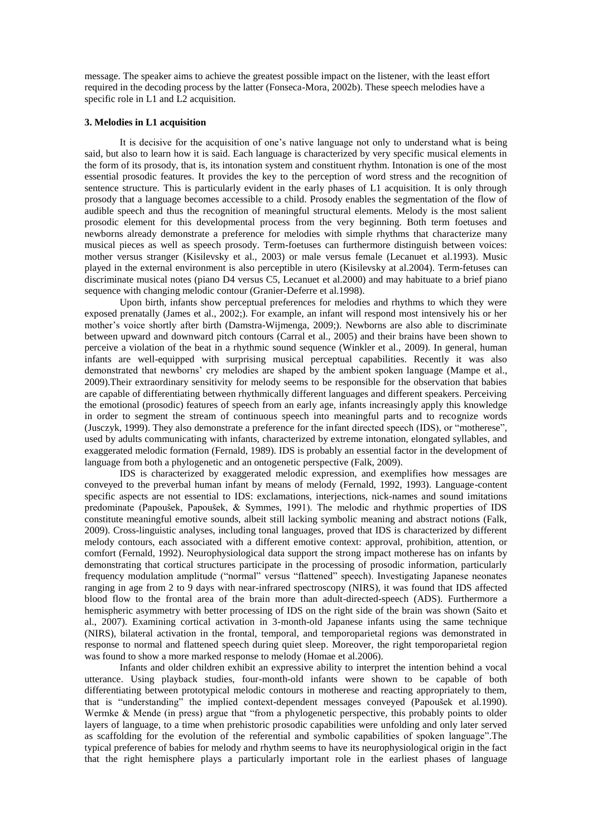message. The speaker aims to achieve the greatest possible impact on the listener, with the least effort required in the decoding process by the latter (Fonseca-Mora, 2002b). These speech melodies have a specific role in L1 and L2 acquisition.

### **3. Melodies in L1 acquisition**

It is decisive for the acquisition of one"s native language not only to understand what is being said, but also to learn how it is said. Each language is characterized by very specific musical elements in the form of its prosody, that is, its intonation system and constituent rhythm. Intonation is one of the most essential prosodic features. It provides the key to the perception of word stress and the recognition of sentence structure. This is particularly evident in the early phases of L1 acquisition. It is only through prosody that a language becomes accessible to a child. Prosody enables the segmentation of the flow of audible speech and thus the recognition of meaningful structural elements. Melody is the most salient prosodic element for this developmental process from the very beginning. Both term foetuses and newborns already demonstrate a preference for melodies with simple rhythms that characterize many musical pieces as well as speech prosody. Term-foetuses can furthermore distinguish between voices: mother versus stranger (Kisilevsky et al., 2003) or male versus female (Lecanuet et al.1993). Music played in the external environment is also perceptible in utero (Kisilevsky at al.2004). Term-fetuses can discriminate musical notes (piano D4 versus C5, Lecanuet et al.2000) and may habituate to a brief piano sequence with changing melodic contour (Granier-Deferre et al.1998).

Upon birth, infants show perceptual preferences for melodies and rhythms to which they were exposed prenatally (James et al., 2002;). For example, an infant will respond most intensively his or her mother"s voice shortly after birth (Damstra-Wijmenga, 2009;). Newborns are also able to discriminate between upward and downward pitch contours (Carral et al., 2005) and their brains have been shown to perceive a violation of the beat in a rhythmic sound sequence (Winkler et al., 2009). In general, human infants are well-equipped with surprising musical perceptual capabilities. Recently it was also demonstrated that newborns" cry melodies are shaped by the ambient spoken language (Mampe et al., 2009).Their extraordinary sensitivity for melody seems to be responsible for the observation that babies are capable of differentiating between rhythmically different languages and different speakers. Perceiving the emotional (prosodic) features of speech from an early age, infants increasingly apply this knowledge in order to segment the stream of continuous speech into meaningful parts and to recognize words (Jusczyk, 1999). They also demonstrate a preference for the infant directed speech (IDS), or "motherese", used by adults communicating with infants, characterized by extreme intonation, elongated syllables, and exaggerated melodic formation (Fernald, 1989). IDS is probably an essential factor in the development of language from both a phylogenetic and an ontogenetic perspective (Falk, 2009).

IDS is characterized by exaggerated melodic expression, and exemplifies how messages are conveyed to the preverbal human infant by means of melody (Fernald, 1992, 1993). Language-content specific aspects are not essential to IDS: exclamations, interjections, nick-names and sound imitations predominate (Papoušek, Papoušek, & Symmes, 1991). The melodic and rhythmic properties of IDS constitute meaningful emotive sounds, albeit still lacking symbolic meaning and abstract notions (Falk, 2009). Cross-linguistic analyses, including tonal languages, proved that IDS is characterized by different melody contours, each associated with a different emotive context: approval, prohibition, attention, or comfort (Fernald, 1992). Neurophysiological data support the strong impact motherese has on infants by demonstrating that cortical structures participate in the processing of prosodic information, particularly frequency modulation amplitude ("normal" versus "flattened" speech). Investigating Japanese neonates ranging in age from 2 to 9 days with near-infrared spectroscopy (NIRS), it was found that IDS affected blood flow to the frontal area of the brain more than adult-directed-speech (ADS). Furthermore a hemispheric asymmetry with better processing of IDS on the right side of the brain was shown (Saito et al., 2007). Examining cortical activation in 3-month-old Japanese infants using the same technique (NIRS), bilateral activation in the frontal, temporal, and temporoparietal regions was demonstrated in response to normal and flattened speech during quiet sleep. Moreover, the right temporoparietal region was found to show a more marked response to melody (Homae et al.2006).

Infants and older children exhibit an expressive ability to interpret the intention behind a vocal utterance. Using playback studies, four-month-old infants were shown to be capable of both differentiating between prototypical melodic contours in motherese and reacting appropriately to them, that is "understanding" the implied context-dependent messages conveyed (Papoušek et al.1990). Wermke & Mende (in press) argue that "from a phylogenetic perspective, this probably points to older layers of language, to a time when prehistoric prosodic capabilities were unfolding and only later served as scaffolding for the evolution of the referential and symbolic capabilities of spoken language".The typical preference of babies for melody and rhythm seems to have its neurophysiological origin in the fact that the right hemisphere plays a particularly important role in the earliest phases of language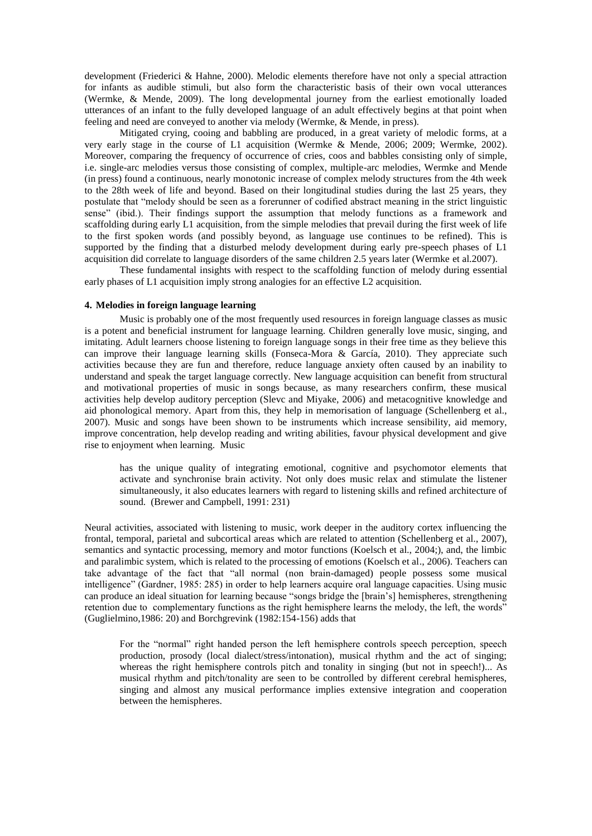development (Friederici & Hahne, 2000). Melodic elements therefore have not only a special attraction for infants as audible stimuli, but also form the characteristic basis of their own vocal utterances (Wermke, & Mende, 2009). The long developmental journey from the earliest emotionally loaded utterances of an infant to the fully developed language of an adult effectively begins at that point when feeling and need are conveyed to another via melody (Wermke, & Mende, in press).

Mitigated crying, cooing and babbling are produced, in a great variety of melodic forms, at a very early stage in the course of L1 acquisition (Wermke & Mende, 2006; 2009; Wermke, 2002). Moreover, comparing the frequency of occurrence of cries, coos and babbles consisting only of simple, i.e. single-arc melodies versus those consisting of complex, multiple-arc melodies, Wermke and Mende (in press) found a continuous, nearly monotonic increase of complex melody structures from the 4th week to the 28th week of life and beyond. Based on their longitudinal studies during the last 25 years, they postulate that "melody should be seen as a forerunner of codified abstract meaning in the strict linguistic sense" (ibid.). Their findings support the assumption that melody functions as a framework and scaffolding during early L1 acquisition, from the simple melodies that prevail during the first week of life to the first spoken words (and possibly beyond, as language use continues to be refined). This is supported by the finding that a disturbed melody development during early pre-speech phases of L1 acquisition did correlate to language disorders of the same children 2.5 years later (Wermke et al.2007).

These fundamental insights with respect to the scaffolding function of melody during essential early phases of L1 acquisition imply strong analogies for an effective L2 acquisition.

# **4. Melodies in foreign language learning**

Music is probably one of the most frequently used resources in foreign language classes as music is a potent and beneficial instrument for language learning. Children generally love music, singing, and imitating. Adult learners choose listening to foreign language songs in their free time as they believe this can improve their language learning skills (Fonseca-Mora & García, 2010). They appreciate such activities because they are fun and therefore, reduce language anxiety often caused by an inability to understand and speak the target language correctly. New language acquisition can benefit from structural and motivational properties of music in songs because, as many researchers confirm, these musical activities help develop auditory perception (Slevc and Miyake, 2006) and metacognitive knowledge and aid phonological memory. Apart from this, they help in memorisation of language (Schellenberg et al., 2007). Music and songs have been shown to be instruments which increase sensibility, aid memory, improve concentration, help develop reading and writing abilities, favour physical development and give rise to enjoyment when learning. Music

has the unique quality of integrating emotional, cognitive and psychomotor elements that activate and synchronise brain activity. Not only does music relax and stimulate the listener simultaneously, it also educates learners with regard to listening skills and refined architecture of sound. (Brewer and Campbell, 1991: 231)

Neural activities, associated with listening to music, work deeper in the auditory cortex influencing the frontal, temporal, parietal and subcortical areas which are related to attention (Schellenberg et al., 2007), semantics and syntactic processing, memory and motor functions (Koelsch et al., 2004;), and, the limbic and paralimbic system, which is related to the processing of emotions (Koelsch et al., 2006). Teachers can take advantage of the fact that "all normal (non brain-damaged) people possess some musical intelligence" (Gardner, 1985: 285) in order to help learners acquire oral language capacities. Using music can produce an ideal situation for learning because "songs bridge the [brain"s] hemispheres, strengthening retention due to complementary functions as the right hemisphere learns the melody, the left, the words" (Guglielmino,1986: 20) and Borchgrevink (1982:154-156) adds that

For the "normal" right handed person the left hemisphere controls speech perception, speech production, prosody (local dialect/stress/intonation), musical rhythm and the act of singing; whereas the right hemisphere controls pitch and tonality in singing (but not in speech!)... As musical rhythm and pitch/tonality are seen to be controlled by different cerebral hemispheres, singing and almost any musical performance implies extensive integration and cooperation between the hemispheres.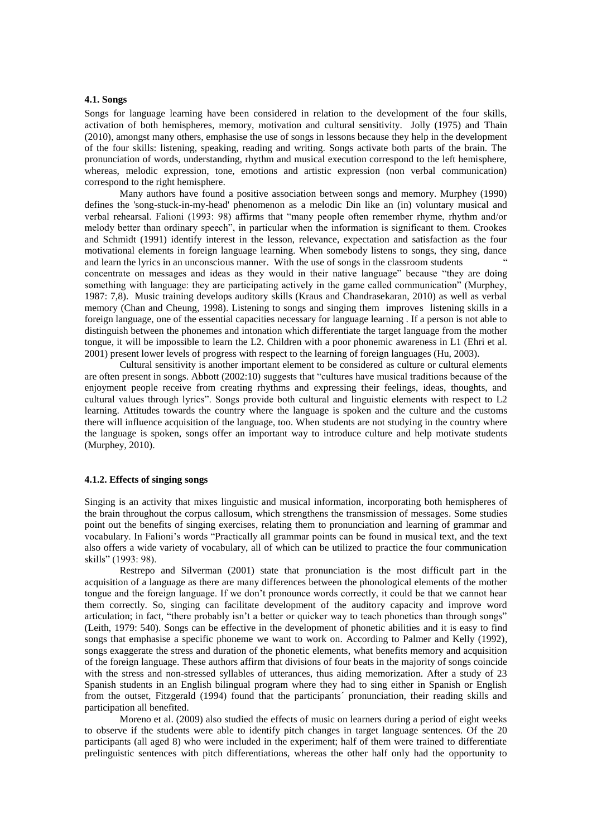### **4.1. Songs**

Songs for language learning have been considered in relation to the development of the four skills, activation of both hemispheres, memory, motivation and cultural sensitivity. Jolly (1975) and Thain (2010), amongst many others, emphasise the use of songs in lessons because they help in the development of the four skills: listening, speaking, reading and writing. Songs activate both parts of the brain. The pronunciation of words, understanding, rhythm and musical execution correspond to the left hemisphere, whereas, melodic expression, tone, emotions and artistic expression (non verbal communication) correspond to the right hemisphere.

Many authors have found a positive association between songs and memory. Murphey (1990) defines the 'song-stuck-in-my-head' phenomenon as a melodic Din like an (in) voluntary musical and verbal rehearsal. Falioni (1993: 98) affirms that "many people often remember rhyme, rhythm and/or melody better than ordinary speech", in particular when the information is significant to them. Crookes and Schmidt (1991) identify interest in the lesson, relevance, expectation and satisfaction as the four motivational elements in foreign language learning. When somebody listens to songs, they sing, dance and learn the lyrics in an unconscious manner. With the use of songs in the classroom students " concentrate on messages and ideas as they would in their native language" because "they are doing something with language: they are participating actively in the game called communication" (Murphey, 1987: 7,8). Music training develops auditory skills (Kraus and Chandrasekaran, 2010) as well as verbal memory (Chan and Cheung, 1998). Listening to songs and singing them improves listening skills in a foreign language, one of the essential capacities necessary for language learning . If a person is not able to distinguish between the phonemes and intonation which differentiate the target language from the mother tongue, it will be impossible to learn the L2. Children with a poor phonemic awareness in L1 (Ehri et al. 2001) present lower levels of progress with respect to the learning of foreign languages (Hu, 2003).

Cultural sensitivity is another important element to be considered as culture or cultural elements are often present in songs. Abbott (2002:10) suggests that "cultures have musical traditions because of the enjoyment people receive from creating rhythms and expressing their feelings, ideas, thoughts, and cultural values through lyrics". Songs provide both cultural and linguistic elements with respect to L2 learning. Attitudes towards the country where the language is spoken and the culture and the customs there will influence acquisition of the language, too. When students are not studying in the country where the language is spoken, songs offer an important way to introduce culture and help motivate students (Murphey, 2010).

#### **4.1.2. Effects of singing songs**

Singing is an activity that mixes linguistic and musical information, incorporating both hemispheres of the brain throughout the corpus callosum, which strengthens the transmission of messages. Some studies point out the benefits of singing exercises, relating them to pronunciation and learning of grammar and vocabulary. In Falioni"s words "Practically all grammar points can be found in musical text, and the text also offers a wide variety of vocabulary, all of which can be utilized to practice the four communication skills" (1993: 98).

Restrepo and Silverman (2001) state that pronunciation is the most difficult part in the acquisition of a language as there are many differences between the phonological elements of the mother tongue and the foreign language. If we don"t pronounce words correctly, it could be that we cannot hear them correctly. So, singing can facilitate development of the auditory capacity and improve word articulation; in fact, "there probably isn"t a better or quicker way to teach phonetics than through songs" (Leith, 1979: 540). Songs can be effective in the development of phonetic abilities and it is easy to find songs that emphasise a specific phoneme we want to work on. According to Palmer and Kelly (1992), songs exaggerate the stress and duration of the phonetic elements, what benefits memory and acquisition of the foreign language. These authors affirm that divisions of four beats in the majority of songs coincide with the stress and non-stressed syllables of utterances, thus aiding memorization. After a study of 23 Spanish students in an English bilingual program where they had to sing either in Spanish or English from the outset, Fitzgerald (1994) found that the participants´ pronunciation, their reading skills and participation all benefited.

Moreno et al. (2009) also studied the effects of music on learners during a period of eight weeks to observe if the students were able to identify pitch changes in target language sentences. Of the 20 participants (all aged 8) who were included in the experiment; half of them were trained to differentiate prelinguistic sentences with pitch differentiations, whereas the other half only had the opportunity to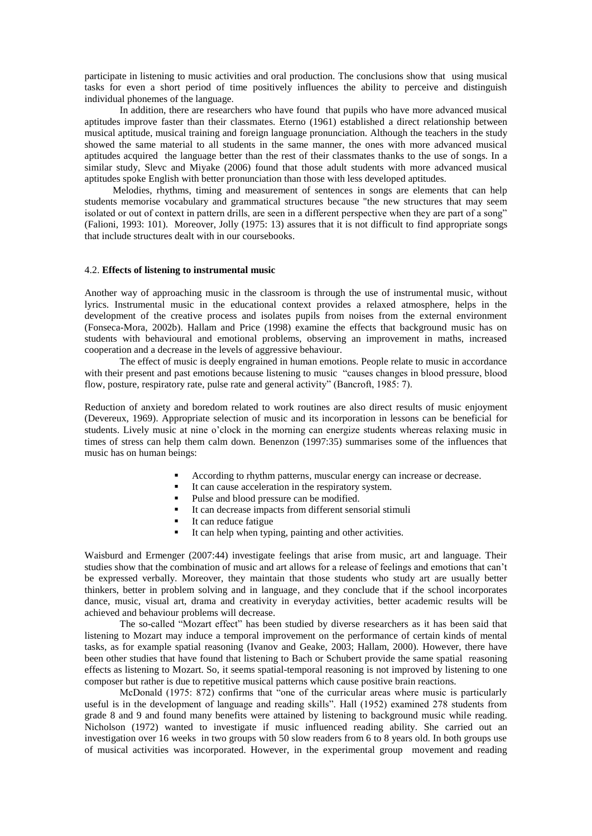participate in listening to music activities and oral production. The conclusions show that using musical tasks for even a short period of time positively influences the ability to perceive and distinguish individual phonemes of the language.

In addition, there are researchers who have found that pupils who have more advanced musical aptitudes improve faster than their classmates. Eterno (1961) established a direct relationship between musical aptitude, musical training and foreign language pronunciation. Although the teachers in the study showed the same material to all students in the same manner, the ones with more advanced musical aptitudes acquired the language better than the rest of their classmates thanks to the use of songs. In a similar study, Slevc and Miyake (2006) found that those adult students with more advanced musical aptitudes spoke English with better pronunciation than those with less developed aptitudes.

Melodies, rhythms, timing and measurement of sentences in songs are elements that can help students memorise vocabulary and grammatical structures because "the new structures that may seem isolated or out of context in pattern drills, are seen in a different perspective when they are part of a song" (Falioni, 1993: 101). Moreover, Jolly (1975: 13) assures that it is not difficult to find appropriate songs that include structures dealt with in our coursebooks.

# 4.2. **Effects of listening to instrumental music**

Another way of approaching music in the classroom is through the use of instrumental music, without lyrics. Instrumental music in the educational context provides a relaxed atmosphere, helps in the development of the creative process and isolates pupils from noises from the external environment (Fonseca-Mora, 2002b). Hallam and Price (1998) examine the effects that background music has on students with behavioural and emotional problems, observing an improvement in maths, increased cooperation and a decrease in the levels of aggressive behaviour.

The effect of music is deeply engrained in human emotions. People relate to music in accordance with their present and past emotions because listening to music "causes changes in blood pressure, blood flow, posture, respiratory rate, pulse rate and general activity" (Bancroft, 1985: 7).

Reduction of anxiety and boredom related to work routines are also direct results of music enjoyment (Devereux, 1969). Appropriate selection of music and its incorporation in lessons can be beneficial for students. Lively music at nine o"clock in the morning can energize students whereas relaxing music in times of stress can help them calm down. Benenzon (1997:35) summarises some of the influences that music has on human beings:

- According to rhythm patterns, muscular energy can increase or decrease.
- $\blacksquare$  It can cause acceleration in the respiratory system.
- Pulse and blood pressure can be modified.
- It can decrease impacts from different sensorial stimuli
- It can reduce fatigue
- It can help when typing, painting and other activities.

Waisburd and Ermenger (2007:44) investigate feelings that arise from music, art and language. Their studies show that the combination of music and art allows for a release of feelings and emotions that can"t be expressed verbally. Moreover, they maintain that those students who study art are usually better thinkers, better in problem solving and in language, and they conclude that if the school incorporates dance, music, visual art, drama and creativity in everyday activities, better academic results will be achieved and behaviour problems will decrease.

The so-called "Mozart effect" has been studied by diverse researchers as it has been said that listening to Mozart may induce a temporal improvement on the performance of certain kinds of mental tasks, as for example spatial reasoning (Ivanov and Geake, 2003; Hallam, 2000). However, there have been other studies that have found that listening to Bach or Schubert provide the same spatial reasoning effects as listening to Mozart. So, it seems spatial-temporal reasoning is not improved by listening to one composer but rather is due to repetitive musical patterns which cause positive brain reactions.

McDonald (1975: 872) confirms that "one of the curricular areas where music is particularly useful is in the development of language and reading skills". Hall (1952) examined 278 students from grade 8 and 9 and found many benefits were attained by listening to background music while reading. Nicholson (1972) wanted to investigate if music influenced reading ability. She carried out an investigation over 16 weeks in two groups with 50 slow readers from 6 to 8 years old. In both groups use of musical activities was incorporated. However, in the experimental group movement and reading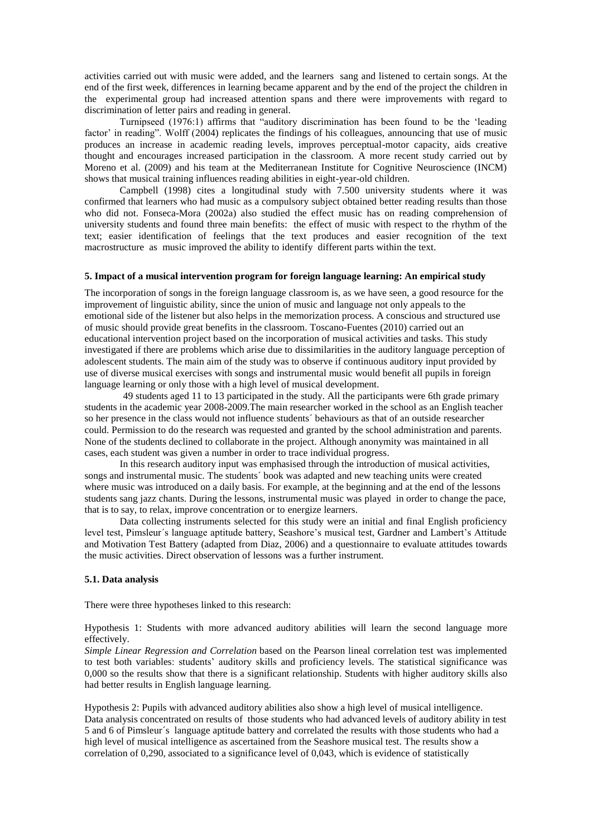activities carried out with music were added, and the learners sang and listened to certain songs. At the end of the first week, differences in learning became apparent and by the end of the project the children in the experimental group had increased attention spans and there were improvements with regard to discrimination of letter pairs and reading in general.

Turnipseed (1976:1) affirms that "auditory discrimination has been found to be the "leading factor' in reading". Wolff (2004) replicates the findings of his colleagues, announcing that use of music produces an increase in academic reading levels, improves perceptual-motor capacity, aids creative thought and encourages increased participation in the classroom. A more recent study carried out by Moreno et al. (2009) and his team at the Mediterranean Institute for Cognitive Neuroscience (INCM) shows that musical training influences reading abilities in eight-year-old children.

Campbell (1998) cites a longitudinal study with 7.500 university students where it was confirmed that learners who had music as a compulsory subject obtained better reading results than those who did not. Fonseca-Mora (2002a) also studied the effect music has on reading comprehension of university students and found three main benefits: the effect of music with respect to the rhythm of the text; easier identification of feelings that the text produces and easier recognition of the text macrostructure as music improved the ability to identify different parts within the text.

# **5. Impact of a musical intervention program for foreign language learning: An empirical study**

The incorporation of songs in the foreign language classroom is, as we have seen, a good resource for the improvement of linguistic ability, since the union of music and language not only appeals to the emotional side of the listener but also helps in the memorization process. A conscious and structured use of music should provide great benefits in the classroom. Toscano-Fuentes (2010) carried out an educational intervention project based on the incorporation of musical activities and tasks. This study investigated if there are problems which arise due to dissimilarities in the auditory language perception of adolescent students. The main aim of the study was to observe if continuous auditory input provided by use of diverse musical exercises with songs and instrumental music would benefit all pupils in foreign language learning or only those with a high level of musical development.

49 students aged 11 to 13 participated in the study. All the participants were 6th grade primary students in the academic year 2008-2009.The main researcher worked in the school as an English teacher so her presence in the class would not influence students´ behaviours as that of an outside researcher could. Permission to do the research was requested and granted by the school administration and parents. None of the students declined to collaborate in the project. Although anonymity was maintained in all cases, each student was given a number in order to trace individual progress.

In this research auditory input was emphasised through the introduction of musical activities, songs and instrumental music. The students´ book was adapted and new teaching units were created where music was introduced on a daily basis. For example, at the beginning and at the end of the lessons students sang jazz chants. During the lessons, instrumental music was played in order to change the pace, that is to say, to relax, improve concentration or to energize learners.

Data collecting instruments selected for this study were an initial and final English proficiency level test, Pimsleur´s language aptitude battery, Seashore"s musical test, Gardner and Lambert"s Attitude and Motivation Test Battery (adapted from Diaz, 2006) and a questionnaire to evaluate attitudes towards the music activities. Direct observation of lessons was a further instrument.

## **5.1. Data analysis**

There were three hypotheses linked to this research:

Hypothesis 1: Students with more advanced auditory abilities will learn the second language more effectively.

*Simple Linear Regression and Correlation* based on the Pearson lineal correlation test was implemented to test both variables: students' auditory skills and proficiency levels. The statistical significance was 0,000 so the results show that there is a significant relationship. Students with higher auditory skills also had better results in English language learning.

Hypothesis 2: Pupils with advanced auditory abilities also show a high level of musical intelligence. Data analysis concentrated on results of those students who had advanced levels of auditory ability in test 5 and 6 of Pimsleur´s language aptitude battery and correlated the results with those students who had a high level of musical intelligence as ascertained from the Seashore musical test. The results show a correlation of 0,290, associated to a significance level of 0,043, which is evidence of statistically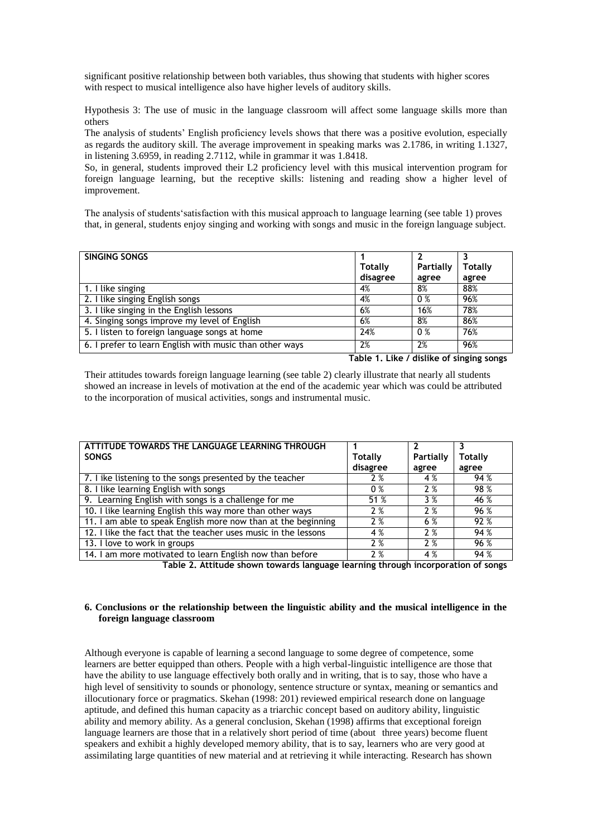significant positive relationship between both variables, thus showing that students with higher scores with respect to musical intelligence also have higher levels of auditory skills.

Hypothesis 3: The use of music in the language classroom will affect some language skills more than others

The analysis of students" English proficiency levels shows that there was a positive evolution, especially as regards the auditory skill. The average improvement in speaking marks was 2.1786, in writing 1.1327, in listening 3.6959, in reading 2.7112, while in grammar it was 1.8418.

So, in general, students improved their L2 proficiency level with this musical intervention program for foreign language learning, but the receptive skills: listening and reading show a higher level of improvement.

The analysis of students"satisfaction with this musical approach to language learning (see table 1) proves that, in general, students enjoy singing and working with songs and music in the foreign language subject.

| SINGING SONGS                                           |          |                |         |  |
|---------------------------------------------------------|----------|----------------|---------|--|
|                                                         | Totally  | Partially      | Totally |  |
|                                                         | disagree | agree          | agree   |  |
| 1. I like singing                                       | 4%       | 8%             | 88%     |  |
| 2. I like singing English songs                         | 4%       | 0%             | 96%     |  |
| 3. I like singing in the English lessons                | 6%       | 16%            | 78%     |  |
| 4. Singing songs improve my level of English            | 6%       | 8%             | 86%     |  |
| 5. I listen to foreign language songs at home           | 24%      | 0 <sup>%</sup> | 76%     |  |
| 6. I prefer to learn English with music than other ways | 2%       | 2%             | 96%     |  |
| Table 1. Like / dislike of singing songs                |          |                |         |  |

Their attitudes towards foreign language learning (see table 2) clearly illustrate that nearly all students showed an increase in levels of motivation at the end of the academic year which was could be attributed to the incorporation of musical activities, songs and instrumental music.

| ATTITUDE TOWARDS THE LANGUAGE LEARNING THROUGH                 |          |           |         |
|----------------------------------------------------------------|----------|-----------|---------|
| <b>SONGS</b>                                                   | Totally  | Partially | Totally |
|                                                                | disagree | agree     | agree   |
| 7. I ike listening to the songs presented by the teacher       | 2%       | 4 %       | 94%     |
| 8. I like learning English with songs                          | $0\%$    | 2%        | 98 %    |
| 9. Learning English with songs is a challenge for me           | 51 %     | 3%        | 46 %    |
| 10. I like learning English this way more than other ways      | 2%       | 2%        | 96 %    |
| 11. I am able to speak English more now than at the beginning  | 2%       | 6 %       | 92 %    |
| 12. I like the fact that the teacher uses music in the lessons | 4 %      | 2%        | 94 %    |
| 13. I love to work in groups                                   | 2%       | 2%        | 96 %    |
| 14. I am more motivated to learn English now than before       | 2%       | 4 %       | 94%     |

**Table 2. Attitude shown towards language learning through incorporation of songs**

# **6. Conclusions or the relationship between the linguistic ability and the musical intelligence in the foreign language classroom**

Although everyone is capable of learning a second language to some degree of competence, some learners are better equipped than others. People with a high verbal-linguistic intelligence are those that have the ability to use language effectively both orally and in writing, that is to say, those who have a high level of sensitivity to sounds or phonology, sentence structure or syntax, meaning or semantics and illocutionary force or pragmatics. Skehan (1998: 201) reviewed empirical research done on language aptitude, and defined this human capacity as a triarchic concept based on auditory ability, linguistic ability and memory ability. As a general conclusion, Skehan (1998) affirms that exceptional foreign language learners are those that in a relatively short period of time (about three years) become fluent speakers and exhibit a highly developed memory ability, that is to say, learners who are very good at assimilating large quantities of new material and at retrieving it while interacting. Research has shown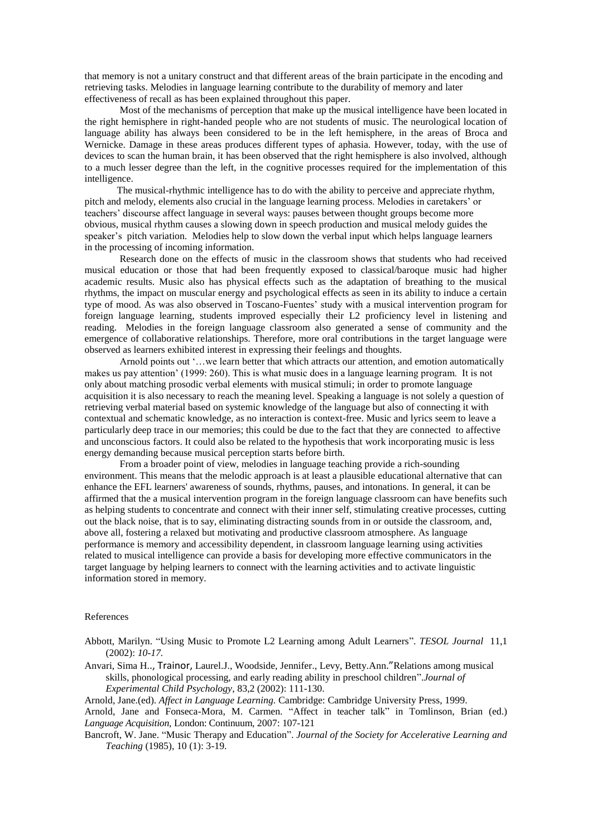that memory is not a unitary construct and that different areas of the brain participate in the encoding and retrieving tasks. Melodies in language learning contribute to the durability of memory and later effectiveness of recall as has been explained throughout this paper.

Most of the mechanisms of perception that make up the musical intelligence have been located in the right hemisphere in right-handed people who are not students of music. The neurological location of language ability has always been considered to be in the left hemisphere, in the areas of Broca and Wernicke. Damage in these areas produces different types of aphasia. However, today, with the use of devices to scan the human brain, it has been observed that the right hemisphere is also involved, although to a much lesser degree than the left, in the cognitive processes required for the implementation of this intelligence.

 The musical-rhythmic intelligence has to do with the ability to perceive and appreciate rhythm, pitch and melody, elements also crucial in the language learning process. Melodies in caretakers" or teachers' discourse affect language in several ways: pauses between thought groups become more obvious, musical rhythm causes a slowing down in speech production and musical melody guides the speaker's pitch variation. Melodies help to slow down the verbal input which helps language learners in the processing of incoming information.

Research done on the effects of music in the classroom shows that students who had received musical education or those that had been frequently exposed to classical/baroque music had higher academic results. Music also has physical effects such as the adaptation of breathing to the musical rhythms, the impact on muscular energy and psychological effects as seen in its ability to induce a certain type of mood. As was also observed in Toscano-Fuentes' study with a musical intervention program for foreign language learning, students improved especially their L2 proficiency level in listening and reading. Melodies in the foreign language classroom also generated a sense of community and the emergence of collaborative relationships. Therefore, more oral contributions in the target language were observed as learners exhibited interest in expressing their feelings and thoughts.

Arnold points out "…we learn better that which attracts our attention, and emotion automatically makes us pay attention" (1999: 260). This is what music does in a language learning program. It is not only about matching prosodic verbal elements with musical stimuli; in order to promote language acquisition it is also necessary to reach the meaning level. Speaking a language is not solely a question of retrieving verbal material based on systemic knowledge of the language but also of connecting it with contextual and schematic knowledge, as no interaction is context-free. Music and lyrics seem to leave a particularly deep trace in our memories; this could be due to the fact that they are connected to affective and unconscious factors. It could also be related to the hypothesis that work incorporating music is less energy demanding because musical perception starts before birth.

From a broader point of view, melodies in language teaching provide a rich-sounding environment. This means that the melodic approach is at least a plausible educational alternative that can enhance the EFL learners' awareness of sounds, rhythms, pauses, and intonations. In general, it can be affirmed that the a musical intervention program in the foreign language classroom can have benefits such as helping students to concentrate and connect with their inner self, stimulating creative processes, cutting out the black noise, that is to say, eliminating distracting sounds from in or outside the classroom, and, above all, fostering a relaxed but motivating and productive classroom atmosphere. As language performance is memory and accessibility dependent, in classroom language learning using activities related to musical intelligence can provide a basis for developing more effective communicators in the target language by helping learners to connect with the learning activities and to activate linguistic information stored in memory.

# References

Abbott, Marilyn. "Using Music to Promote L2 Learning among Adult Learners". *TESOL Journal* 11,1 (2002): *10-17.*

Anvari, Sima H.., Trainor, Laurel.J., Woodside, Jennifer., Levy, Betty.Ann."Relations among musical skills, phonological processing, and early reading ability in preschool children".*Journal of Experimental Child Psychology*, 83,2 (2002): 111-130.

Arnold, Jane.(ed). *Affect in Language Learning.* Cambridge: Cambridge University Press, 1999.

Arnold, Jane and Fonseca-Mora, M. Carmen. "Affect in teacher talk" in Tomlinson, Brian (ed.) *Language Acquisition,* London: Continuum, 2007: 107-121

Bancroft, W. Jane. "Music Therapy and Education". *Journal of the Society for Accelerative Learning and Teaching* (1985), 10 (1): 3-19.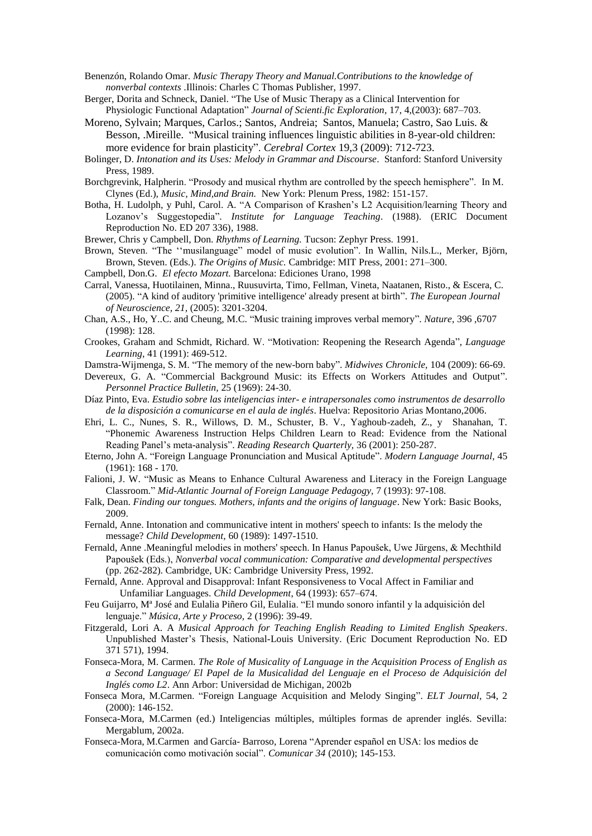Benenzón, Rolando Omar. *Music Therapy Theory and Manual.Contributions to the knowledge of nonverbal contexts* .Illinois: Charles C Thomas Publisher, 1997.

- Berger, Dorita and Schneck, Daniel. "The Use of Music Therapy as a Clinical Intervention for Physiologic Functional Adaptation" *Journal of Scienti.fic Exploration*, 17, 4,(2003): 687–703.
- Moreno, Sylvain; Marques, Carlos.; Santos, Andreia; Santos, Manuela; Castro, Sao Luis. & Besson, .Mireille. "Musical training influences linguistic abilities in 8-year-old children: more evidence for brain plasticity". *Cerebral Cortex* 19,3 (2009): 712-723.
- Bolinger, D. *Intonation and its Uses: Melody in Grammar and Discourse*. Stanford: Stanford University Press, 1989.
- Borchgrevink, Halpherin. "Prosody and musical rhythm are controlled by the speech hemisphere". In M. Clynes (Ed.), *Music, Mind,and Brain.* New York: Plenum Press, 1982: 151-157.
- Botha, H. Ludolph, y Puhl, Carol. A. "A Comparison of Krashen"s L2 Acquisition/learning Theory and Lozanov"s Suggestopedia". *Institute for Language Teaching*. (1988). (ERIC Document Reproduction No. ED 207 336), 1988.
- Brewer, Chris y Campbell, Don. *Rhythms of Learning.* Tucson: Zephyr Press. 1991.
- Brown, Steven. "The "musilanguage" model of music evolution". In Wallin, Nils.L., Merker, Björn, Brown, Steven. (Eds.). *The Origins of Music.* Cambridge: MIT Press, 2001: 271–300.
- Campbell, Don.G. *El efecto Mozart.* Barcelona: Ediciones Urano, 1998
- Carral, Vanessa, Huotilainen, Minna., Ruusuvirta, Timo, Fellman, Vineta, Naatanen, Risto., & Escera, C. (2005). "A kind of auditory 'primitive intelligence' already present at birth". *The European Journal of Neuroscience, 21,* (2005): 3201-3204.
- Chan, A.S., Ho, Y..C. and Cheung, M.C. "Music training improves verbal memory". *Nature*, 396 ,6707 (1998): 128.
- Crookes, Graham and Schmidt, Richard. W. "Motivation: Reopening the Research Agenda", *Language Learning*, 41 (1991): 469-512.
- Damstra-Wijmenga, S. M. "The memory of the new-born baby". *Midwives Chronicle,* 104 (2009): 66-69.
- Devereux, G. A. "Commercial Background Music: its Effects on Workers Attitudes and Output". *Personnel Practice Bulletin,* 25 (1969): 24-30.
- Díaz Pinto, Eva. *Estudio sobre las inteligencias inter- e intrapersonales como instrumentos de desarrollo de la disposición a comunicarse en el aula de inglés*. Huelva: Repositorio Arias Montano,2006.
- Ehri, L. C., Nunes, S. R., Willows, D. M., Schuster, B. V., Yaghoub-zadeh, Z., y Shanahan, T. "Phonemic Awareness Instruction Helps Children Learn to Read: Evidence from the National Reading Panel"s meta-analysis". *Reading Research Quarterly,* 36 (2001): 250-287.
- Eterno, John A. "Foreign Language Pronunciation and Musical Aptitude". *Modern Language Journal,* 45 (1961): 168 - 170.
- Falioni, J. W. "Music as Means to Enhance Cultural Awareness and Literacy in the Foreign Language Classroom." *Mid-Atlantic Journal of Foreign Language Pedagogy,* 7 (1993): 97-108.
- Falk, Dean. *Finding our tongues. Mothers, infants and the origins of language*. New York: Basic Books, 2009.
- Fernald, Anne. Intonation and communicative intent in mothers' speech to infants: Is the melody the message? *Child Development,* 60 (1989): 1497-1510.
- Fernald, Anne .Meaningful melodies in mothers' speech. In Hanus Papoušek, Uwe Jürgens, & Mechthild Papoušek (Eds.), *Nonverbal vocal communication: Comparative and developmental perspectives* (pp. 262-282). Cambridge, UK: Cambridge University Press, 1992.
- Fernald, Anne. Approval and Disapproval: Infant Responsiveness to Vocal Affect in Familiar and Unfamiliar Languages. *Child Development*, 64 (1993): 657–674.
- Feu Guijarro, Mª José and Eulalia Piñero Gil, Eulalia. "El mundo sonoro infantil y la adquisición del lenguaje." *Música, Arte y Proceso,* 2 (1996): 39-49.
- Fitzgerald, Lori A. A *Musical Approach for Teaching English Reading to Limited English Speakers*. Unpublished Master"s Thesis, National-Louis University. (Eric Document Reproduction No. ED 371 571), 1994.
- Fonseca-Mora, M. Carmen. *The Role of Musicality of Language in the Acquisition Process of English as a Second Language/ El Papel de la Musicalidad del Lenguaje en el Proceso de Adquisición del Inglés como L2*. Ann Arbor: Universidad de Michigan, 2002b
- Fonseca Mora, M.Carmen. "Foreign Language Acquisition and Melody Singing". *ELT Journal,* 54, 2 (2000): 146-152.
- Fonseca-Mora, M.Carmen (ed.) Inteligencias múltiples, múltiples formas de aprender inglés. Sevilla: Mergablum, 2002a.
- Fonseca-Mora, M.Carmen and García- Barroso, Lorena "Aprender español en USA: los medios de comunicación como motivación social". *Comunicar 34* (2010); 145-153.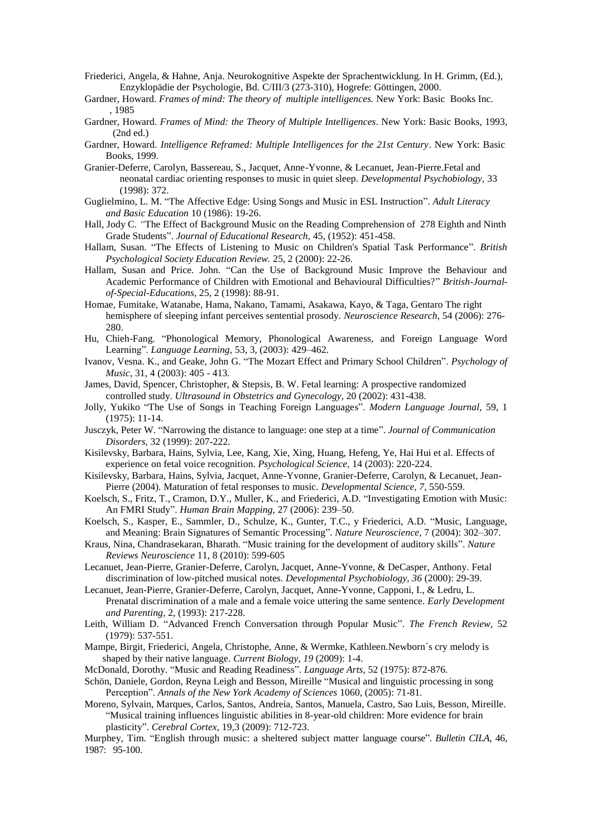- Friederici, Angela, & Hahne, Anja. Neurokognitive Aspekte der Sprachentwicklung. In H. Grimm, (Ed.), Enzyklopädie der Psychologie, Bd. C/III/3 (273-310), Hogrefe: Göttingen, 2000.
- Gardner, Howard. *Frames of mind: The theory of multiple intelligences.* New York: Basic Books Inc. , 1985
- Gardner, Howard. *Frames of Mind: the Theory of Multiple Intelligences*. New York: Basic Books, 1993, (2nd ed.)
- Gardner, Howard. *Intelligence Reframed: Multiple Intelligences for the 21st Century*. New York: Basic Books, 1999.
- Granier-Deferre, Carolyn, Bassereau, S., Jacquet, Anne-Yvonne, & Lecanuet, Jean-Pierre.Fetal and neonatal cardiac orienting responses to music in quiet sleep. *Developmental Psychobiology,* 33 (1998): 372.
- Guglielmino, L. M. "The Affective Edge: Using Songs and Music in ESL Instruction". *Adult Literacy and Basic Education* 10 (1986): 19-26.
- Hall, Jody C. *"*The Effect of Background Music on the Reading Comprehension of 278 Eighth and Ninth Grade Students". *Journal of Educational Research,* 45, (1952): 451-458.
- Hallam, Susan. "The Effects of Listening to Music on Children's Spatial Task Performance". *British Psychological Society Education Review.* 25, 2 (2000): 22-26.
- Hallam, Susan and Price. John. "Can the Use of Background Music Improve the Behaviour and Academic Performance of Children with Emotional and Behavioural Difficulties?" *British-Journalof-Special-Educations,* 25, 2 (1998): 88-91.
- Homae, Fumitake, Watanabe, Hama, Nakano, Tamami, Asakawa, Kayo, & Taga, Gentaro The right hemisphere of sleeping infant perceives sentential prosody. *Neuroscience Research,* 54 (2006): 276- 280.
- Hu, Chieh-Fang. "Phonological Memory, Phonological Awareness, and Foreign Language Word Learning". *Language Learning,* 53, 3, (2003): 429–462.
- Ivanov, Vesna. K., and Geake, John G. "The Mozart Effect and Primary School Children". *Psychology of Music*, 31, 4 (2003): 405 - 413.
- James, David, Spencer, Christopher, & Stepsis, B. W. Fetal learning: A prospective randomized controlled study. *Ultrasound in Obstetrics and Gynecology,* 20 (2002): 431-438.
- Jolly, Yukiko "The Use of Songs in Teaching Foreign Languages". *Modern Language Journal,* 59, 1 (1975): 11-14.
- Jusczyk, Peter W. "Narrowing the distance to language: one step at a time". *Journal of Communication Disorders,* 32 (1999): 207-222.
- Kisilevsky, Barbara, Hains, Sylvia, Lee, Kang, Xie, Xing, Huang, Hefeng, Ye, Hai Hui et al. Effects of experience on fetal voice recognition. *Psychological Science,* 14 (2003): 220-224.
- Kisilevsky, Barbara, Hains, Sylvia, Jacquet, Anne-Yvonne, Granier-Deferre, Carolyn, & Lecanuet, Jean-Pierre (2004). Maturation of fetal responses to music. *Developmental Science, 7,* 550-559.
- Koelsch, S., Fritz, T., Cramon, D.Y., Muller, K., and Friederici, A.D. "Investigating Emotion with Music: An FMRI Study". *Human Brain Mapping,* 27 (2006): 239–50.
- Koelsch, S., Kasper, E., Sammler, D., Schulze, K., Gunter, T.C., y Friederici, A.D. "Music, Language, and Meaning: Brain Signatures of Semantic Processing". *Nature Neuroscience,* 7 (2004): 302–307.
- [Kraus, Nina,](http://rpproxy.iii.com:9797/MuseSessionID=1b7ba7f87791bae793273e58d7072e/MuseHost=www.scopus.com/MusePath/search/submit/author.url?author=Kraus%2c+N.&authorId=35229857500&origin=recordpage) [Chandrasekaran, Bharath.](http://rpproxy.iii.com:9797/MuseSessionID=1b7ba7f87791bae793273e58d7072e/MuseHost=www.scopus.com/MusePath/search/submit/author.url?author=Chandrasekaran%2c+B.&authorId=15756978600&origin=recordpage) "Music training for the development of auditory skills". *[Nature](http://rpproxy.iii.com:9797/MuseSessionID=1b7ba7f87791bae793273e58d7072e/MuseHost=www.scopus.com/MusePath/source/sourceInfo.url?sourceId=17437&origin=recordpage)  [Reviews Neuroscience](http://rpproxy.iii.com:9797/MuseSessionID=1b7ba7f87791bae793273e58d7072e/MuseHost=www.scopus.com/MusePath/source/sourceInfo.url?sourceId=17437&origin=recordpage)* 11, 8 (2010): 599-605
- Lecanuet, Jean-Pierre, Granier-Deferre, Carolyn, Jacquet, Anne-Yvonne, & DeCasper, Anthony. Fetal discrimination of low-pitched musical notes. *Developmental Psychobiology, 36* (2000): 29-39.
- Lecanuet, Jean-Pierre, Granier-Deferre, Carolyn, Jacquet, Anne-Yvonne, Capponi, I., & Ledru, L. Prenatal discrimination of a male and a female voice uttering the same sentence. *Early Development and Parenting,* 2, (1993): 217-228.
- Leith, William D. "Advanced French Conversation through Popular Music". *The French Review*, 52 (1979): 537-551.
- Mampe, Birgit, Friederici, Angela, Christophe, Anne, & Wermke, Kathleen.Newborn´s cry melody is shaped by their native language. *Current Biology*, *19* (2009): 1-4.
- McDonald, Dorothy. "Music and Reading Readiness". *Language Arts,* 52 (1975): 872-876.
- Schön, Daniele, Gordon, Reyna Leigh and Besson, Mireille "Musical and linguistic processing in song Perception". *Annals of the New York Academy of Sciences* 1060, (2005): 71-81*.*
- Moreno, Sylvain, Marques, Carlos, Santos, Andreia, Santos, Manuela, Castro, Sao Luis, Besson, Mireille. "Musical training influences linguistic abilities in 8-year-old children: More evidence for brain plasticity". *Cerebral Cortex*, 19,3 (2009): 712-723.
- Murphey, Tim. "English through music: a sheltered subject matter language course". *Bulletin CILA*, 46, 1987: 95-100.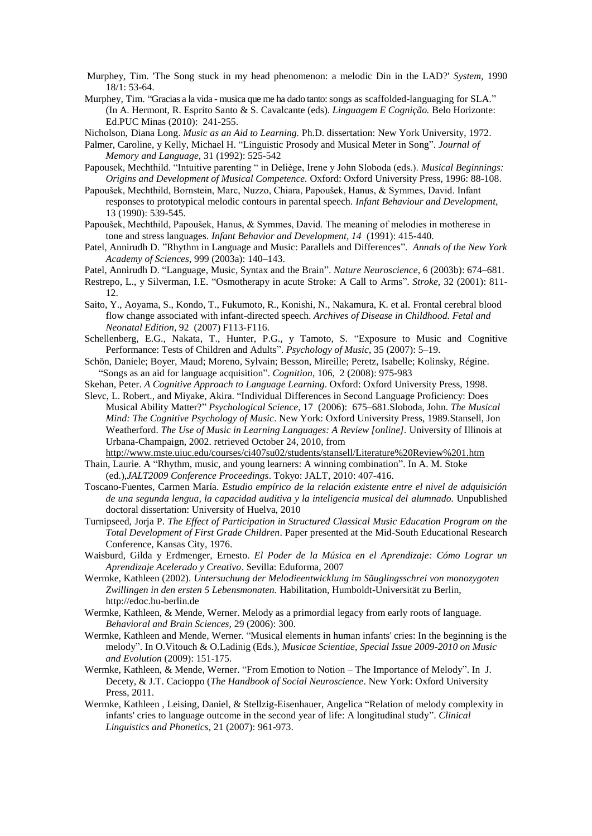- Murphey, Tim. 'The Song stuck in my head phenomenon: a melodic Din in the LAD?' *System,* 1990 18/1: 53-64.
- Murphey, Tim. "Gracias a la vida musica que me ha dado tanto: songs as scaffolded-languaging for SLA." (In A. Hermont, R. Esprito Santo & S. Cavalcante (eds). *Linguagem E Cognição.* Belo Horizonte: Ed.PUC Minas (2010): 241-255.
- Nicholson, Diana Long. *Music as an Aid to Learning.* Ph.D. dissertation: New York University, 1972.
- Palmer, Caroline, y Kelly, Michael H. "Linguistic Prosody and Musical Meter in Song". *Journal of Memory and Language,* 31 (1992): 525-542
- Papousek, Mechthild. "Intuitive parenting " in Deliège, Irene y John Sloboda (eds.). *Musical Beginnings: Origins and Development of Musical Competence.* Oxford: Oxford University Press, 1996: 88-108.
- Papoušek, Mechthild, Bornstein, Marc, Nuzzo, Chiara, Papoušek, Hanus, & Symmes, David. Infant responses to prototypical melodic contours in parental speech. *Infant Behaviour and Development,*  13 (1990): 539-545.
- Papoušek, Mechthild, Papoušek, Hanus, & Symmes, David. The meaning of melodies in motherese in tone and stress languages. *Infant Behavior and Development, 14* (1991): 415-440.
- Patel, Annirudh D. "Rhythm in Language and Music: Parallels and Differences". *Annals of the New York Academy of Sciences*, 999 (2003a): 140–143.
- Patel, Annirudh D. "Language, Music, Syntax and the Brain". *Nature Neuroscience*, 6 (2003b): 674–681.
- Restrepo, L., y Silverman, I.E. "Osmotherapy in acute Stroke: A Call to Arms". *Stroke,* 32 (2001): 811- 12.
- Saito, Y., Aoyama, S., Kondo, T., Fukumoto, R., Konishi, N., Nakamura, K. et al. Frontal cerebral blood flow change associated with infant-directed speech. *Archives of Disease in Childhood. Fetal and Neonatal Edition*, 92 (2007) F113-F116.
- Schellenberg, E.G., Nakata, T., Hunter, P.G., y Tamoto, S. "Exposure to Music and Cognitive Performance: Tests of Children and Adults". *Psychology of Music*, 35 (2007): 5–19.
- Schön, Daniele; Boyer, Maud; Moreno, Sylvain; Besson, Mireille; Peretz, Isabelle; Kolinsky, Régine. ["Songs as an aid for language acquisition"](http://rpproxy.iii.com:9797/MuseSessionID=a150f26c31e5e99a1255f0de151dae50/MuseHost=www.sciencedirect.com/MusePath/science?_ob=ArticleURL&_udi=B6T24-4NMCV8J-1&_user=705994&_coverDate=02%2F29%2F2008&_rdoc=1&_fmt=high&_orig=article&_cdi=4908&_sort=v&_st=4&_docanchor=&view=c&_ct=9444&_acct=C000039438&_version=1&_urlVersion=0&_userid=705994&md5=2b4101ddfee780ce147b1793dc8b9812). *Cognition*, 106, 2 (2008): 975-983
- Skehan, Peter. *A Cognitive Approach to Language Learning*. Oxford: Oxford University Press, 1998.
- Slevc, L. Robert., and Miyake, Akira. "Individual Differences in Second Language Proficiency: Does Musical Ability Matter?" *Psychological Science*, 17 (2006): 675–681.Sloboda, John. *The Musical Mind: The Cognitive Psychology of Music*. New York: Oxford University Press, 1989.Stansell, Jon Weatherford. *The Use of Music in Learning Languages: A Review [online].* University of Illinois at Urbana-Champaign, 2002. retrieved October 24, 2010, from
- <http://www.mste.uiuc.edu/courses/ci407su02/students/stansell/Literature%20Review%201.htm> Thain, Laurie. A "Rhythm, music, and young learners: A winning combination". In A. M. Stoke
- (ed.),*JALT2009 Conference Proceedings*. Tokyo: JALT, 2010: 407-416.
- Toscano-Fuentes, Carmen María. *Estudio empírico de la relación existente entre el nivel de adquisición de una segunda lengua, la capacidad auditiva y la inteligencia musical del alumnado.* Unpublished doctoral dissertation: University of Huelva, 2010
- Turnipseed, Jorja P. *The Effect of Participation in Structured Classical Music Education Program on the Total Development of First Grade Children*. Paper presented at the Mid-South Educational Research Conference, Kansas City, 1976.
- Waisburd, Gilda y Erdmenger, Ernesto. *El Poder de la Música en el Aprendizaje: Cómo Lograr un Aprendizaje Acelerado y Creativo*. Sevilla: Eduforma, 2007
- Wermke, Kathleen (2002). *Untersuchung der Melodieentwicklung im Säuglingsschrei von monozygoten Zwillingen in den ersten 5 Lebensmonaten.* Habilitation, Humboldt-Universität zu Berlin, http://edoc.hu-berlin.de
- Wermke, Kathleen, & Mende, Werner. Melody as a primordial legacy from early roots of language. *Behavioral and Brain Sciences,* 29 (2006): 300.
- Wermke, Kathleen and Mende, Werner. "Musical elements in human infants' cries: In the beginning is the melody". In O.Vitouch & O.Ladinig (Eds.), *Musicae Scientiae, Special Issue 2009-2010 on Music and Evolution* (2009): 151-175.
- Wermke, Kathleen, & Mende, Werner. "From Emotion to Notion The Importance of Melody". In J. Decety, & J.T. Cacioppo (*The Handbook of Social Neuroscience*. New York: Oxford University Press, 2011.
- Wermke, Kathleen , Leising, Daniel, & Stellzig-Eisenhauer, Angelica "Relation of melody complexity in infants' cries to language outcome in the second year of life: A longitudinal study". *Clinical Linguistics and Phonetics,* 21 (2007): 961-973.